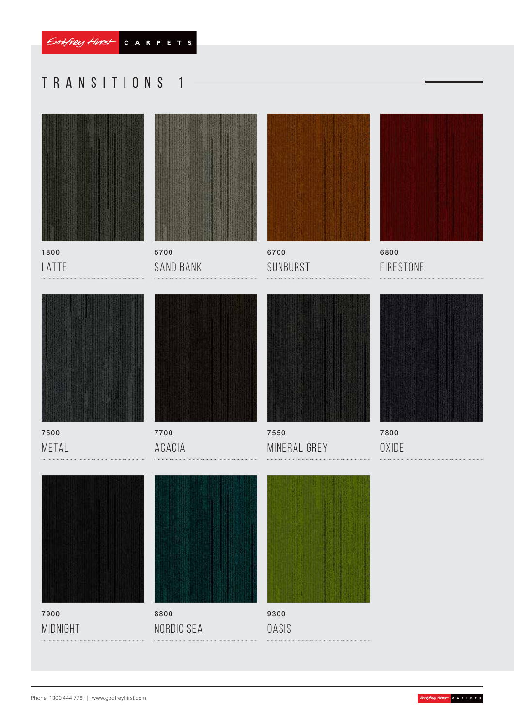# Transitions 1



1800 LATTE



5700 Sand Bank



6700 SUNBURST



6800 **FIRESTONE** 



7500 **METAL** 



Acacia



7550 Mineral Grey



7800 **OXIDE** 



7900 midnight



Nordic Sea



9300 **OASIS** 

Phone: 1300 444 778 | www.godfreyhirst.com